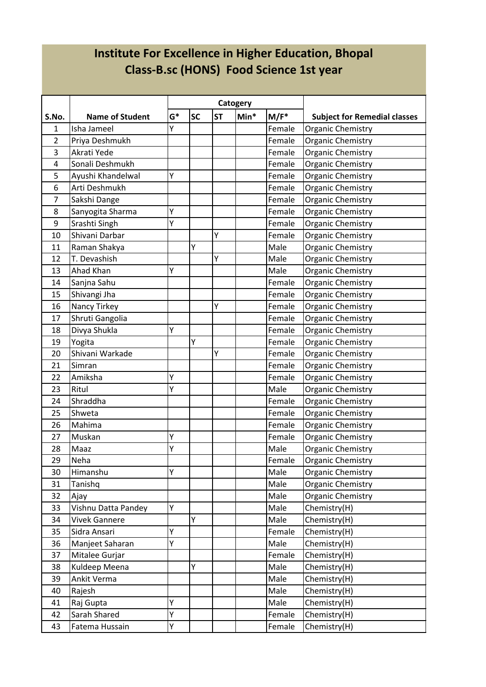# **Institute For Excellence in Higher Education, Bhopal Class-B.sc (HONS) Food Science 1st year**

|       |                        |       |           |           | Catogery |         |                                     |
|-------|------------------------|-------|-----------|-----------|----------|---------|-------------------------------------|
| S.No. | <b>Name of Student</b> | $G^*$ | <b>SC</b> | <b>ST</b> | $Min*$   | $M/F^*$ | <b>Subject for Remedial classes</b> |
| 1     | Isha Jameel            | Υ     |           |           |          | Female  | Organic Chemistry                   |
| 2     | Priya Deshmukh         |       |           |           |          | Female  | Organic Chemistry                   |
| 3     | Akrati Yede            |       |           |           |          | Female  | <b>Organic Chemistry</b>            |
| 4     | Sonali Deshmukh        |       |           |           |          | Female  | <b>Organic Chemistry</b>            |
| 5     | Ayushi Khandelwal      | Υ     |           |           |          | Female  | Organic Chemistry                   |
| 6     | Arti Deshmukh          |       |           |           |          | Female  | <b>Organic Chemistry</b>            |
| 7     | Sakshi Dange           |       |           |           |          | Female  | Organic Chemistry                   |
| 8     | Sanyogita Sharma       | Υ     |           |           |          | Female  | <b>Organic Chemistry</b>            |
| 9     | Srashti Singh          | Υ     |           |           |          | Female  | Organic Chemistry                   |
| 10    | Shivani Darbar         |       |           | Υ         |          | Female  | Organic Chemistry                   |
| 11    | Raman Shakya           |       | Υ         |           |          | Male    | <b>Organic Chemistry</b>            |
| 12    | T. Devashish           |       |           | Y         |          | Male    | Organic Chemistry                   |
| 13    | Ahad Khan              | Υ     |           |           |          | Male    | <b>Organic Chemistry</b>            |
| 14    | Sanjna Sahu            |       |           |           |          | Female  | <b>Organic Chemistry</b>            |
| 15    | Shivangi Jha           |       |           |           |          | Female  | <b>Organic Chemistry</b>            |
| 16    | Nancy Tirkey           |       |           | Υ         |          | Female  | <b>Organic Chemistry</b>            |
| 17    | Shruti Gangolia        |       |           |           |          | Female  | <b>Organic Chemistry</b>            |
| 18    | Divya Shukla           | Υ     |           |           |          | Female  | <b>Organic Chemistry</b>            |
| 19    | Yogita                 |       | Υ         |           |          | Female  | Organic Chemistry                   |
| 20    | Shivani Warkade        |       |           | Υ         |          | Female  | <b>Organic Chemistry</b>            |
| 21    | Simran                 |       |           |           |          | Female  | Organic Chemistry                   |
| 22    | Amiksha                | Υ     |           |           |          | Female  | Organic Chemistry                   |
| 23    | Ritul                  | Y     |           |           |          | Male    | <b>Organic Chemistry</b>            |
| 24    | Shraddha               |       |           |           |          | Female  | <b>Organic Chemistry</b>            |
| 25    | Shweta                 |       |           |           |          | Female  | <b>Organic Chemistry</b>            |
| 26    | Mahima                 |       |           |           |          | Female  | Organic Chemistry                   |
| 27    | Muskan                 | Υ     |           |           |          | Female  | Organic Chemistry                   |
| 28    | Maaz                   | Υ     |           |           |          | Male    | <b>Organic Chemistry</b>            |
| 29    | Neha                   |       |           |           |          | Female  | <b>Organic Chemistry</b>            |
| 30    | Himanshu               | Y     |           |           |          | Male    | Organic Chemistry                   |
| 31    | Tanishq                |       |           |           |          | Male    | Organic Chemistry                   |
| 32    | Ajay                   |       |           |           |          | Male    | Organic Chemistry                   |
| 33    | Vishnu Datta Pandey    | Y     |           |           |          | Male    | Chemistry(H)                        |
| 34    | <b>Vivek Gannere</b>   |       | Υ         |           |          | Male    | Chemistry(H)                        |
| 35    | Sidra Ansari           | Υ     |           |           |          | Female  | Chemistry(H)                        |
| 36    | Manjeet Saharan        | Υ     |           |           |          | Male    | Chemistry(H)                        |
| 37    | Mitalee Gurjar         |       |           |           |          | Female  | Chemistry(H)                        |
| 38    | Kuldeep Meena          |       | Υ         |           |          | Male    | Chemistry(H)                        |
| 39    | Ankit Verma            |       |           |           |          | Male    | Chemistry(H)                        |
| 40    | Rajesh                 |       |           |           |          | Male    | Chemistry(H)                        |
| 41    | Raj Gupta              | Υ     |           |           |          | Male    | Chemistry(H)                        |
| 42    | Sarah Shared           | Υ     |           |           |          | Female  | Chemistry(H)                        |
| 43    | Fatema Hussain         | Υ     |           |           |          | Female  | Chemistry(H)                        |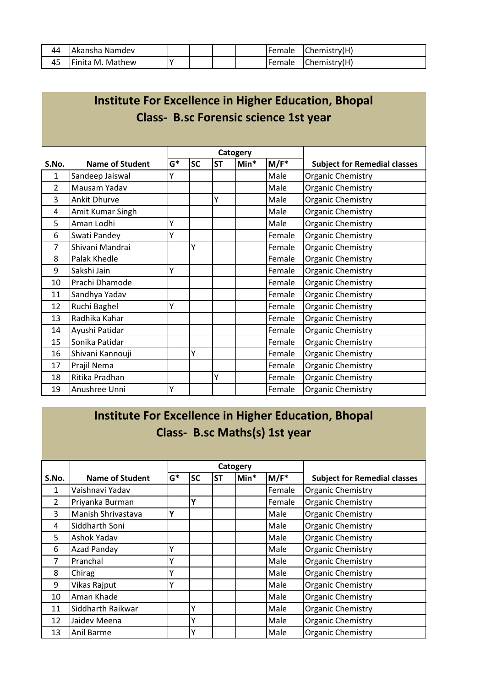| 44 | IAkansha Namdev      |  |  | <b>IFemale</b> | Chemistry(H) |
|----|----------------------|--|--|----------------|--------------|
| 45 | IFinita M.<br>Mathew |  |  | <b>IFemale</b> | Chemistry(H) |

# **Institute For Excellence in Higher Education, Bhopal Class- B.sc Forensic science 1st year**

|                |                        |       |           |           | Catogery |         |                                     |
|----------------|------------------------|-------|-----------|-----------|----------|---------|-------------------------------------|
| S.No.          | <b>Name of Student</b> | $G^*$ | <b>SC</b> | <b>ST</b> | Min*     | $M/F^*$ | <b>Subject for Remedial classes</b> |
| 1              | Sandeep Jaiswal        | γ     |           |           |          | Male    | Organic Chemistry                   |
| $\overline{2}$ | Mausam Yadav           |       |           |           |          | Male    | <b>Organic Chemistry</b>            |
| 3              | <b>Ankit Dhurve</b>    |       |           | Υ         |          | Male    | Organic Chemistry                   |
| 4              | Amit Kumar Singh       |       |           |           |          | Male    | Organic Chemistry                   |
| 5              | Aman Lodhi             | Y     |           |           |          | Male    | Organic Chemistry                   |
| 6              | Swati Pandey           | Y     |           |           |          | Female  | <b>Organic Chemistry</b>            |
| 7              | Shivani Mandrai        |       | Υ         |           |          | Female  | Organic Chemistry                   |
| 8              | Palak Khedle           |       |           |           |          | Female  | Organic Chemistry                   |
| 9              | Sakshi Jain            | Υ     |           |           |          | Female  | Organic Chemistry                   |
| 10             | Prachi Dhamode         |       |           |           |          | Female  | Organic Chemistry                   |
| 11             | Sandhya Yadav          |       |           |           |          | Female  | <b>Organic Chemistry</b>            |
| 12             | Ruchi Baghel           | Y     |           |           |          | Female  | Organic Chemistry                   |
| 13             | Radhika Kahar          |       |           |           |          | Female  | <b>Organic Chemistry</b>            |
| 14             | Ayushi Patidar         |       |           |           |          | Female  | <b>Organic Chemistry</b>            |
| 15             | Sonika Patidar         |       |           |           |          | Female  | Organic Chemistry                   |
| 16             | Shivani Kannouji       |       | Y         |           |          | Female  | <b>Organic Chemistry</b>            |
| 17             | Prajil Nema            |       |           |           |          | Female  | <b>Organic Chemistry</b>            |
| 18             | Ritika Pradhan         |       |           | Υ         |          | Female  | Organic Chemistry                   |
| 19             | Anushree Unni          | Υ     |           |           |          | Female  | <b>Organic Chemistry</b>            |

#### **Institute For Excellence in Higher Education, Bhopal Class- B.sc Maths(s) 1st year**

|                |                    |       |           |           | Catogery |                  |                                     |
|----------------|--------------------|-------|-----------|-----------|----------|------------------|-------------------------------------|
| S.No.          | Name of Student    | $G^*$ | <b>SC</b> | <b>ST</b> | Min*     | M/F <sup>*</sup> | <b>Subject for Remedial classes</b> |
| 1              | Vaishnavi Yadav    |       |           |           |          | Female           | <b>Organic Chemistry</b>            |
| $\overline{2}$ | Priyanka Burman    |       | Υ         |           |          | Female           | <b>Organic Chemistry</b>            |
| 3              | Manish Shrivastava | Υ     |           |           |          | Male             | <b>Organic Chemistry</b>            |
| 4              | Siddharth Soni     |       |           |           |          | Male             | <b>Organic Chemistry</b>            |
| 5              | <b>Ashok Yadav</b> |       |           |           |          | Male             | <b>Organic Chemistry</b>            |
| 6              | <b>Azad Panday</b> |       |           |           |          | Male             | <b>Organic Chemistry</b>            |
| 7              | Pranchal           |       |           |           |          | Male             | <b>Organic Chemistry</b>            |
| 8              | Chirag             |       |           |           |          | Male             | <b>Organic Chemistry</b>            |
| 9              | Vikas Rajput       |       |           |           |          | Male             | <b>Organic Chemistry</b>            |
| 10             | Aman Khade         |       |           |           |          | Male             | <b>Organic Chemistry</b>            |
| 11             | Siddharth Raikwar  |       | Y         |           |          | Male             | <b>Organic Chemistry</b>            |
| 12             | Jaidev Meena       |       | v         |           |          | Male             | <b>Organic Chemistry</b>            |
| 13             | Anil Barme         |       | v         |           |          | Male             | <b>Organic Chemistry</b>            |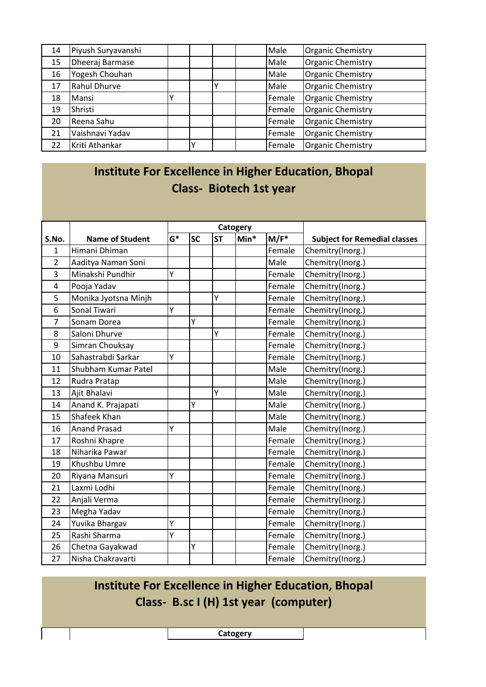| 14 | Piyush Suryavanshi  |  |  | Male   | <b>Organic Chemistry</b> |
|----|---------------------|--|--|--------|--------------------------|
| 15 | Dheeraj Barmase     |  |  | Male   | Organic Chemistry        |
| 16 | Yogesh Chouhan      |  |  | Male   | Organic Chemistry        |
| 17 | <b>Rahul Dhurve</b> |  |  | Male   | Organic Chemistry        |
| 18 | Mansi               |  |  | Female | Organic Chemistry        |
| 19 | Shristi             |  |  | Female | Organic Chemistry        |
| 20 | Reena Sahu          |  |  | Female | <b>Organic Chemistry</b> |
| 21 | Vaishnavi Yadav     |  |  | Female | <b>Organic Chemistry</b> |
| 22 | Kriti Athankar      |  |  | Female | <b>Organic Chemistry</b> |

# **Institute For Excellence in Higher Education, Bhopal Class- Biotech 1st year**

|                |                        |       |           |           | Catogery |         |                                     |
|----------------|------------------------|-------|-----------|-----------|----------|---------|-------------------------------------|
| S.No.          | <b>Name of Student</b> | $G^*$ | <b>SC</b> | <b>ST</b> | $Min*$   | $M/F^*$ | <b>Subject for Remedial classes</b> |
| $\mathbf{1}$   | Himani Dhiman          |       |           |           |          | Female  | Chemitry(Inorg.)                    |
| $\overline{2}$ | Aaditya Naman Soni     |       |           |           |          | Male    | Chemitry(Inorg.)                    |
| 3              | Minakshi Pundhir       | Y     |           |           |          | Female  | Chemitry(Inorg.)                    |
| $\overline{4}$ | Pooja Yadav            |       |           |           |          | Female  | Chemitry(Inorg.)                    |
| 5              | Monika Jyotsna Minjh   |       |           | Ý         |          | Female  | Chemitry(Inorg.)                    |
| 6              | Sonal Tiwari           | Y     |           |           |          | Female  | Chemitry(Inorg.)                    |
| 7              | Sonam Dorea            |       | Y         |           |          | Female  | Chemitry(Inorg.)                    |
| 8              | Saloni Dhurve          |       |           | Ý         |          | Female  | Chemitry(Inorg.)                    |
| 9              | Simran Chouksay        |       |           |           |          | Female  | Chemitry(Inorg.)                    |
| 10             | Sahastrabdi Sarkar     | Y     |           |           |          | Female  | Chemitry(Inorg.)                    |
| 11             | Shubham Kumar Patel    |       |           |           |          | Male    | Chemitry(Inorg.)                    |
| 12             | Rudra Pratap           |       |           |           |          | Male    | Chemitry(Inorg.)                    |
| 13             | Ajit Bhalavi           |       |           | Ÿ         |          | Male    | Chemitry(Inorg.)                    |
| 14             | Anand K. Prajapati     |       | Y         |           |          | Male    | Chemitry(Inorg.)                    |
| 15             | Shafeek Khan           |       |           |           |          | Male    | Chemitry(Inorg.)                    |
| 16             | <b>Anand Prasad</b>    | Y     |           |           |          | Male    | Chemitry(Inorg.)                    |
| 17             | Roshni Khapre          |       |           |           |          | Female  | Chemitry(Inorg.)                    |
| 18             | Niharika Pawar         |       |           |           |          | Female  | Chemitry(Inorg.)                    |
| 19             | Khushbu Umre           |       |           |           |          | Female  | Chemitry(Inorg.)                    |
| 20             | Riyana Mansuri         | Y     |           |           |          | Female  | Chemitry(Inorg.)                    |
| 21             | Laxmi Lodhi            |       |           |           |          | Female  | Chemitry(Inorg.)                    |
| 22             | Anjali Verma           |       |           |           |          | Female  | Chemitry(Inorg.)                    |
| 23             | Megha Yadav            |       |           |           |          | Female  | Chemitry(Inorg.)                    |
| 24             | Yuvika Bhargav         | Υ     |           |           |          | Female  | Chemitry(Inorg.)                    |
| 25             | Rashi Sharma           | Ý     |           |           |          | Female  | Chemitry(Inorg.)                    |
| 26             | Chetna Gayakwad        |       | Y         |           |          | Female  | Chemitry(Inorg.)                    |
| 27             | Nisha Chakravarti      |       |           |           |          | Female  | Chemitry(Inorg.)                    |

# **Institute For Excellence in Higher Education, Bhopal Class- B.sc I (H) 1st year (computer)**

**Catogery**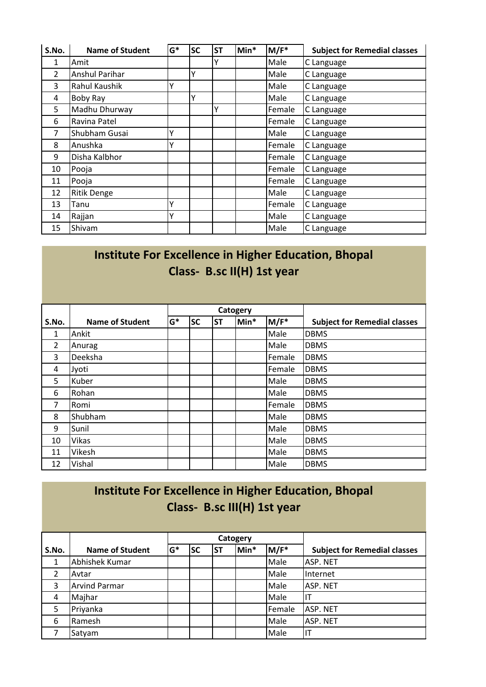| S.No.          | <b>Name of Student</b> | $G^*$ | <b>SC</b> | <b>ST</b> | Min* | $M/F^*$ | <b>Subject for Remedial classes</b> |
|----------------|------------------------|-------|-----------|-----------|------|---------|-------------------------------------|
| 1              | Amit                   |       |           | ٧         |      | Male    | C Language                          |
| $\overline{2}$ | <b>Anshul Parihar</b>  |       | Υ         |           |      | Male    | C Language                          |
| 3              | Rahul Kaushik          |       |           |           |      | Male    | C Language                          |
| 4              | <b>Boby Ray</b>        |       | Υ         |           |      | Male    | C Language                          |
| 5              | Madhu Dhurway          |       |           | Y         |      | Female  | C Language                          |
| 6              | Ravina Patel           |       |           |           |      | Female  | C Language                          |
| 7              | Shubham Gusai          |       |           |           |      | Male    | C Language                          |
| 8              | Anushka                |       |           |           |      | Female  | C Language                          |
| 9              | Disha Kalbhor          |       |           |           |      | Female  | C Language                          |
| 10             | Pooja                  |       |           |           |      | Female  | C Language                          |
| 11             | Pooja                  |       |           |           |      | Female  | C Language                          |
| 12             | <b>Ritik Denge</b>     |       |           |           |      | Male    | C Language                          |
| 13             | Tanu                   |       |           |           |      | Female  | C Language                          |
| 14             | Rajjan                 |       |           |           |      | Male    | C Language                          |
| 15             | Shivam                 |       |           |           |      | Male    | C Language                          |

#### **Institute For Excellence in Higher Education, Bhopal Class- B.sc II(H) 1st year**

|                |                        |       |           |           | Catogery |        |                                     |
|----------------|------------------------|-------|-----------|-----------|----------|--------|-------------------------------------|
| S.No.          | <b>Name of Student</b> | $G^*$ | <b>SC</b> | <b>ST</b> | Min*     | M/F*   | <b>Subject for Remedial classes</b> |
| 1              | Ankit                  |       |           |           |          | Male   | <b>DBMS</b>                         |
| $\overline{2}$ | Anurag                 |       |           |           |          | Male   | <b>DBMS</b>                         |
| 3              | Deeksha                |       |           |           |          | Female | <b>DBMS</b>                         |
| 4              | Jyoti                  |       |           |           |          | Female | <b>DBMS</b>                         |
| 5              | Kuber                  |       |           |           |          | Male   | <b>DBMS</b>                         |
| 6              | Rohan                  |       |           |           |          | Male   | <b>DBMS</b>                         |
| 7              | Romi                   |       |           |           |          | Female | <b>DBMS</b>                         |
| 8              | Shubham                |       |           |           |          | Male   | <b>DBMS</b>                         |
| 9              | Sunil                  |       |           |           |          | Male   | <b>DBMS</b>                         |
| 10             | <b>Vikas</b>           |       |           |           |          | Male   | <b>DBMS</b>                         |
| 11             | Vikesh                 |       |           |           |          | Male   | <b>DBMS</b>                         |
| 12             | Vishal                 |       |           |           |          | Male   | <b>DBMS</b>                         |

# **Institute For Excellence in Higher Education, Bhopal Class- B.sc III(H) 1st year**

|       |                        |       |           |           | Catogery |        |                                     |
|-------|------------------------|-------|-----------|-----------|----------|--------|-------------------------------------|
| S.No. | <b>Name of Student</b> | $G^*$ | <b>SC</b> | <b>ST</b> | Min*     | M/F*   | <b>Subject for Remedial classes</b> |
| 1     | Abhishek Kumar         |       |           |           |          | Male   | ASP. NET                            |
| 2     | Avtar                  |       |           |           |          | Male   | Internet                            |
| 3     | <b>Arvind Parmar</b>   |       |           |           |          | Male   | ASP. NET                            |
| 4     | Majhar                 |       |           |           |          | Male   | IT                                  |
| 5     | Priyanka               |       |           |           |          | Female | ASP. NET                            |
| 6     | Ramesh                 |       |           |           |          | Male   | ASP. NET                            |
|       | Satyam                 |       |           |           |          | Male   | ıτ                                  |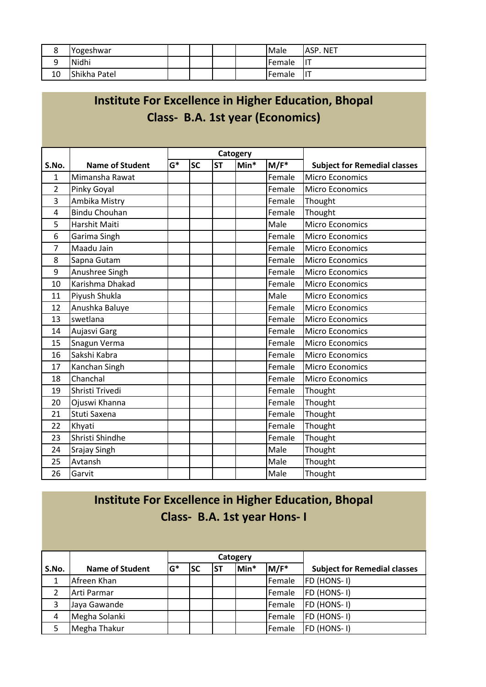| $\circ$<br>٥ | Yogeshwar    |  |  | Male          | <b>ASP. NET</b> |
|--------------|--------------|--|--|---------------|-----------------|
| a<br>◡       | Nidhi        |  |  | <b>Female</b> | IIТ             |
| 10           | Shikha Patel |  |  | <b>Female</b> | lιT             |

|                |                        |       |           |           |          |                                         | Institute For Excellence in Higher Education, Bhopal |
|----------------|------------------------|-------|-----------|-----------|----------|-----------------------------------------|------------------------------------------------------|
|                |                        |       |           |           |          | <b>Class- B.A. 1st year (Economics)</b> |                                                      |
|                |                        |       |           |           |          |                                         |                                                      |
|                |                        |       |           |           |          |                                         |                                                      |
|                |                        |       |           |           | Catogery |                                         |                                                      |
| S.No.          | <b>Name of Student</b> | $G^*$ | <b>SC</b> | <b>ST</b> | Min*     | $M/F^*$                                 | <b>Subject for Remedial classes</b>                  |
| $\mathbf{1}$   | Mimansha Rawat         |       |           |           |          | Female                                  | Micro Economics                                      |
| $\overline{2}$ | Pinky Goyal            |       |           |           |          | Female                                  | <b>Micro Economics</b>                               |
| 3              | Ambika Mistry          |       |           |           |          | Female                                  | Thought                                              |
| 4              | <b>Bindu Chouhan</b>   |       |           |           |          | Female                                  | Thought                                              |
| 5              | Harshit Maiti          |       |           |           |          | Male                                    | <b>Micro Economics</b>                               |
| 6              | Garima Singh           |       |           |           |          | Female                                  | <b>Micro Economics</b>                               |
| $\overline{7}$ | Maadu Jain             |       |           |           |          | Female                                  | <b>Micro Economics</b>                               |
| 8              | Sapna Gutam            |       |           |           |          | Female                                  | <b>Micro Economics</b>                               |
| 9              | Anushree Singh         |       |           |           |          | Female                                  | <b>Micro Economics</b>                               |
| 10             | Karishma Dhakad        |       |           |           |          | Female                                  | <b>Micro Economics</b>                               |
| 11             | Piyush Shukla          |       |           |           |          | Male                                    | <b>Micro Economics</b>                               |
| 12             | Anushka Baluye         |       |           |           |          | Female                                  | <b>Micro Economics</b>                               |
| 13             | swetlana               |       |           |           |          | Female                                  | <b>Micro Economics</b>                               |
| 14             | Aujasvi Garg           |       |           |           |          | Female                                  | <b>Micro Economics</b>                               |
| 15             | Snagun Verma           |       |           |           |          | Female                                  | <b>Micro Economics</b>                               |
| 16             | Sakshi Kabra           |       |           |           |          | Female                                  | Micro Economics                                      |
| 17             | Kanchan Singh          |       |           |           |          | Female                                  | Micro Economics                                      |
| 18             | Chanchal               |       |           |           |          | Female                                  | <b>Micro Economics</b>                               |
| 19             | Shristi Trivedi        |       |           |           |          | Female                                  | Thought                                              |
| 20             | Ojuswi Khanna          |       |           |           |          | Female                                  | Thought                                              |
| 21             | Stuti Saxena           |       |           |           |          | Female                                  | Thought                                              |
| 22             | Khyati                 |       |           |           |          | Female                                  | Thought                                              |
| 23             | Shristi Shindhe        |       |           |           |          | Female                                  | Thought                                              |
| 24             | Srajay Singh           |       |           |           |          | Male                                    | Thought                                              |
| 25             | Avtansh                |       |           |           |          | Male                                    | Thought                                              |
| 26             | Garvit                 |       |           |           |          | Male                                    | Thought                                              |

# **Institute For Excellence in Higher Education, Bhopal**

# **Institute For Excellence in Higher Education, Bhopal Class- B.A. 1st year Hons- I**

|                |                        |       |           |           | Catogery |        |                                     |
|----------------|------------------------|-------|-----------|-----------|----------|--------|-------------------------------------|
| S.No.          | <b>Name of Student</b> | $G^*$ | <b>SC</b> | <b>ST</b> | Min*     | M/F*   | <b>Subject for Remedial classes</b> |
| 1              | Afreen Khan            |       |           |           |          | Female | FD (HONS-I)                         |
| 2              | Arti Parmar            |       |           |           |          | Female | FD (HONS-1)                         |
| $\overline{3}$ | Jaya Gawande           |       |           |           |          | Female | FD (HONS-1)                         |
| 4              | Megha Solanki          |       |           |           |          | Female | FD (HONS-I)                         |
| 5              | Megha Thakur           |       |           |           |          | Female | FD (HONS-1)                         |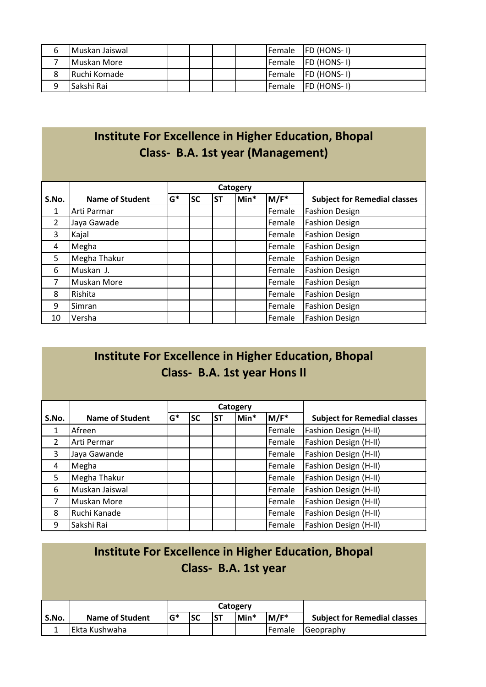| b | Muskan Jaiswal       |  |  |                | Female  FD (HONS-1)       |
|---|----------------------|--|--|----------------|---------------------------|
|   | <b>I</b> Muskan More |  |  |                | <b>Female FD</b> (HONS-1) |
| 8 | Ruchi Komade         |  |  | Female         | $ FD (HONS-I)$            |
| a | lSakshi Rai          |  |  | <b>IFemale</b> | <b>FD (HONS-1)</b>        |

# **Institute For Excellence in Higher Education, Bhopal Class- B.A. 1st year (Management)**

|                |                        |       |           |           | Catogery |                  |                                     |
|----------------|------------------------|-------|-----------|-----------|----------|------------------|-------------------------------------|
| S.No.          | <b>Name of Student</b> | $G^*$ | <b>SC</b> | <b>ST</b> | Min*     | M/F <sup>*</sup> | <b>Subject for Remedial classes</b> |
| 1              | Arti Parmar            |       |           |           |          | Female           | <b>Fashion Design</b>               |
| $\overline{2}$ | Jaya Gawade            |       |           |           |          | Female           | <b>Fashion Design</b>               |
| 3              | Kajal                  |       |           |           |          | Female           | <b>Fashion Design</b>               |
| 4              | Megha                  |       |           |           |          | Female           | <b>Fashion Design</b>               |
| 5              | Megha Thakur           |       |           |           |          | Female           | <b>Fashion Design</b>               |
| 6              | Muskan J.              |       |           |           |          | Female           | <b>Fashion Design</b>               |
| 7              | Muskan More            |       |           |           |          | Female           | <b>Fashion Design</b>               |
| 8              | Rishita                |       |           |           |          | Female           | <b>Fashion Design</b>               |
| 9              | Simran                 |       |           |           |          | Female           | <b>Fashion Design</b>               |
| 10             | Versha                 |       |           |           |          | Female           | <b>Fashion Design</b>               |

#### **Institute For Excellence in Higher Education, Bhopal Class- B.A. 1st year Hons II**

|                |                        |       |           |           | Catogery |                  |                                     |
|----------------|------------------------|-------|-----------|-----------|----------|------------------|-------------------------------------|
| S.No.          | <b>Name of Student</b> | $G^*$ | <b>SC</b> | <b>ST</b> | Min*     | M/F <sup>*</sup> | <b>Subject for Remedial classes</b> |
| 1              | Afreen                 |       |           |           |          | Female           | Fashion Design (H-II)               |
| $\overline{2}$ | Arti Permar            |       |           |           |          | Female           | Fashion Design (H-II)               |
| 3              | Jaya Gawande           |       |           |           |          | Female           | Fashion Design (H-II)               |
| $\overline{4}$ | Megha                  |       |           |           |          | Female           | Fashion Design (H-II)               |
| 5              | Megha Thakur           |       |           |           |          | Female           | Fashion Design (H-II)               |
| 6              | Muskan Jaiswal         |       |           |           |          | Female           | Fashion Design (H-II)               |
| 7              | Muskan More            |       |           |           |          | Female           | Fashion Design (H-II)               |
| 8              | Ruchi Kanade           |       |           |           |          | Female           | Fashion Design (H-II)               |
| 9              | Sakshi Rai             |       |           |           |          | Female           | Fashion Design (H-II)               |

|       | Institute For Excellence in Higher Education, Bhopal<br>Class- B.A. 1st year |        |           |           |          |         |                                     |  |  |  |
|-------|------------------------------------------------------------------------------|--------|-----------|-----------|----------|---------|-------------------------------------|--|--|--|
|       |                                                                              |        |           |           | Catogery |         |                                     |  |  |  |
| S.No. | <b>Name of Student</b>                                                       | $IG^*$ | <b>SC</b> | <b>ST</b> | Min*     | $M/F^*$ | <b>Subject for Remedial classes</b> |  |  |  |
|       | Ekta Kushwaha                                                                |        |           |           |          | Female  | Geopraphy                           |  |  |  |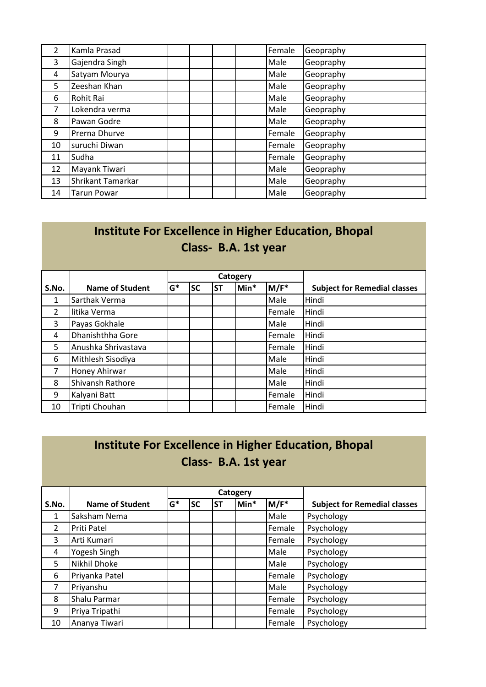| $\overline{2}$ | Kamla Prasad       |  | Female | Geopraphy |
|----------------|--------------------|--|--------|-----------|
| 3              | Gajendra Singh     |  | Male   | Geopraphy |
| 4              | Satyam Mourya      |  | Male   | Geopraphy |
| 5              | Zeeshan Khan       |  | Male   | Geopraphy |
| 6              | Rohit Rai          |  | Male   | Geopraphy |
| 7              | Lokendra verma     |  | Male   | Geopraphy |
| 8              | Pawan Godre        |  | Male   | Geopraphy |
| 9              | Prerna Dhurve      |  | Female | Geopraphy |
| 10             | suruchi Diwan      |  | Female | Geopraphy |
| 11             | Sudha              |  | Female | Geopraphy |
| 12             | Mayank Tiwari      |  | Male   | Geopraphy |
| 13             | Shrikant Tamarkar  |  | Male   | Geopraphy |
| 14             | <b>Tarun Powar</b> |  | Male   | Geopraphy |

# **Institute For Excellence in Higher Education, Bhopal Class- B.A. 1st year**

|                |                        |       |           |           | Catogery |        |                                     |
|----------------|------------------------|-------|-----------|-----------|----------|--------|-------------------------------------|
| S.No.          | <b>Name of Student</b> | $G^*$ | <b>SC</b> | <b>ST</b> | Min*     | M/F*   | <b>Subject for Remedial classes</b> |
| 1              | Sarthak Verma          |       |           |           |          | Male   | Hindi                               |
| $\overline{2}$ | litika Verma           |       |           |           |          | Female | Hindi                               |
| 3              | Payas Gokhale          |       |           |           |          | Male   | Hindi                               |
| 4              | Dhanishthha Gore       |       |           |           |          | Female | Hindi                               |
| 5              | Anushka Shrivastava    |       |           |           |          | Female | Hindi                               |
| 6              | Mithlesh Sisodiya      |       |           |           |          | Male   | Hindi                               |
| $\overline{7}$ | Honey Ahirwar          |       |           |           |          | Male   | Hindi                               |
| 8              | Shivansh Rathore       |       |           |           |          | Male   | Hindi                               |
| 9              | Kalyani Batt           |       |           |           |          | Female | Hindi                               |
| 10             | Tripti Chouhan         |       |           |           |          | Female | Hindi                               |

#### **Institute For Excellence in Higher Education, Bhopal Class- B.A. 1st year**

|                |                        |       |           |           | Catogery |        |                                     |
|----------------|------------------------|-------|-----------|-----------|----------|--------|-------------------------------------|
| S.No.          | <b>Name of Student</b> | $G^*$ | <b>SC</b> | <b>ST</b> | Min*     | M/F*   | <b>Subject for Remedial classes</b> |
| 1              | Saksham Nema           |       |           |           |          | Male   | Psychology                          |
| $\overline{2}$ | Priti Patel            |       |           |           |          | Female | Psychology                          |
| 3              | Arti Kumari            |       |           |           |          | Female | Psychology                          |
| 4              | Yogesh Singh           |       |           |           |          | Male   | Psychology                          |
| 5              | Nikhil Dhoke           |       |           |           |          | Male   | Psychology                          |
| 6              | Priyanka Patel         |       |           |           |          | Female | Psychology                          |
| $\overline{7}$ | Priyanshu              |       |           |           |          | Male   | Psychology                          |
| 8              | Shalu Parmar           |       |           |           |          | Female | Psychology                          |
| 9              | Priya Tripathi         |       |           |           |          | Female | Psychology                          |
| 10             | Ananya Tiwari          |       |           |           |          | Female | Psychology                          |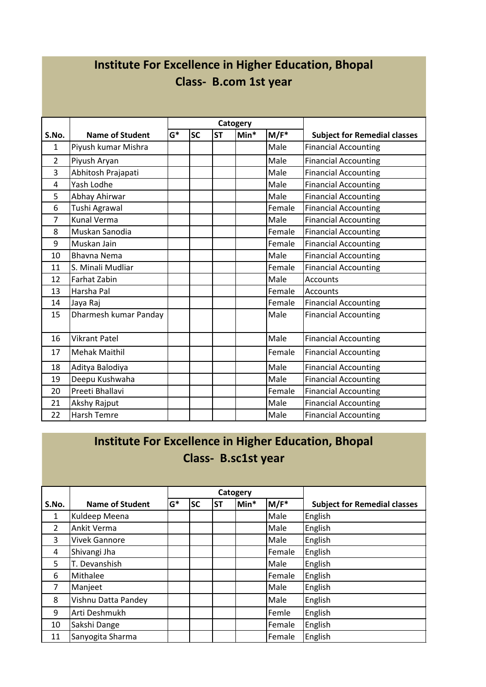## **Institute For Excellence in Higher Education, Bhopal Class- B.com 1st year**

|                |                        |       |           |           | Catogery |         |                                     |
|----------------|------------------------|-------|-----------|-----------|----------|---------|-------------------------------------|
| S.No.          | <b>Name of Student</b> | $G^*$ | <b>SC</b> | <b>ST</b> | $Min*$   | $M/F^*$ | <b>Subject for Remedial classes</b> |
| 1              | Piyush kumar Mishra    |       |           |           |          | Male    | <b>Financial Accounting</b>         |
| $\overline{2}$ | Piyush Aryan           |       |           |           |          | Male    | <b>Financial Accounting</b>         |
| 3              | Abhitosh Prajapati     |       |           |           |          | Male    | <b>Financial Accounting</b>         |
| 4              | Yash Lodhe             |       |           |           |          | Male    | <b>Financial Accounting</b>         |
| 5              | Abhay Ahirwar          |       |           |           |          | Male    | <b>Financial Accounting</b>         |
| 6              | Tushi Agrawal          |       |           |           |          | Female  | <b>Financial Accounting</b>         |
| $\overline{7}$ | <b>Kunal Verma</b>     |       |           |           |          | Male    | <b>Financial Accounting</b>         |
| 8              | Muskan Sanodia         |       |           |           |          | Female  | <b>Financial Accounting</b>         |
| 9              | Muskan Jain            |       |           |           |          | Female  | <b>Financial Accounting</b>         |
| 10             | <b>Bhavna Nema</b>     |       |           |           |          | Male    | <b>Financial Accounting</b>         |
| 11             | S. Minali Mudliar      |       |           |           |          | Female  | <b>Financial Accounting</b>         |
| 12             | <b>Farhat Zabin</b>    |       |           |           |          | Male    | Accounts                            |
| 13             | Harsha Pal             |       |           |           |          | Female  | Accounts                            |
| 14             | Jaya Raj               |       |           |           |          | Female  | <b>Financial Accounting</b>         |
| 15             | Dharmesh kumar Panday  |       |           |           |          | Male    | <b>Financial Accounting</b>         |
| 16             | <b>Vikrant Patel</b>   |       |           |           |          | Male    | <b>Financial Accounting</b>         |
| 17             | <b>Mehak Maithil</b>   |       |           |           |          | Female  | <b>Financial Accounting</b>         |
| 18             | Aditya Balodiya        |       |           |           |          | Male    | <b>Financial Accounting</b>         |
| 19             | Deepu Kushwaha         |       |           |           |          | Male    | <b>Financial Accounting</b>         |
| 20             | Preeti Bhallavi        |       |           |           |          | Female  | <b>Financial Accounting</b>         |
| 21             | Akshy Rajput           |       |           |           |          | Male    | <b>Financial Accounting</b>         |
| 22             | Harsh Temre            |       |           |           |          | Male    | <b>Financial Accounting</b>         |

#### **Institute For Excellence in Higher Education, Bhopal Class- B.sc1st year**

|                |                        |       |           |           | Catogery |                  |                                     |
|----------------|------------------------|-------|-----------|-----------|----------|------------------|-------------------------------------|
| S.No.          | <b>Name of Student</b> | $G^*$ | <b>SC</b> | <b>ST</b> | Min*     | M/F <sup>*</sup> | <b>Subject for Remedial classes</b> |
| 1              | Kuldeep Meena          |       |           |           |          | Male             | English                             |
| $\overline{2}$ | Ankit Verma            |       |           |           |          | Male             | English                             |
| 3              | <b>Vivek Gannore</b>   |       |           |           |          | Male             | English                             |
| 4              | Shivangi Jha           |       |           |           |          | Female           | English                             |
| 5              | T. Devanshish          |       |           |           |          | Male             | English                             |
| 6              | Mithalee               |       |           |           |          | Female           | English                             |
| 7              | Manjeet                |       |           |           |          | Male             | English                             |
| 8              | Vishnu Datta Pandey    |       |           |           |          | Male             | English                             |
| 9              | Arti Deshmukh          |       |           |           |          | Femle            | English                             |
| 10             | Sakshi Dange           |       |           |           |          | Female           | English                             |
| 11             | Sanyogita Sharma       |       |           |           |          | Female           | English                             |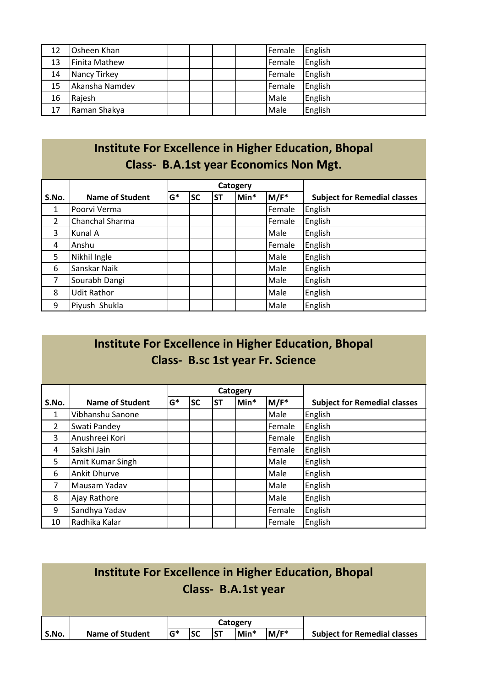| 12 | Osheen Khan    |  | Female | English |
|----|----------------|--|--------|---------|
| 13 | Finita Mathew  |  | Female | English |
| 14 | Nancy Tirkey   |  | Female | English |
| 15 | Akansha Namdev |  | Female | English |
| 16 | Rajesh         |  | Male   | English |
| 17 | Raman Shakya   |  | Male   | English |

#### **Institute For Excellence in Higher Education, Bhopal Class- B.A.1st year Economics Non Mgt.**

|                |                        |       |           |           | Catogery |         |                                     |
|----------------|------------------------|-------|-----------|-----------|----------|---------|-------------------------------------|
| S.No.          | <b>Name of Student</b> | $G^*$ | <b>SC</b> | <b>ST</b> | Min*     | $M/F^*$ | <b>Subject for Remedial classes</b> |
| $\mathbf{1}$   | Poorvi Verma           |       |           |           |          | Female  | English                             |
| 2              | Chanchal Sharma        |       |           |           |          | Female  | English                             |
| 3              | Kunal A                |       |           |           |          | Male    | English                             |
| 4              | Anshu                  |       |           |           |          | Female  | English                             |
| 5              | Nikhil Ingle           |       |           |           |          | Male    | English                             |
| 6              | Sanskar Naik           |       |           |           |          | Male    | English                             |
| $\overline{7}$ | Sourabh Dangi          |       |           |           |          | Male    | English                             |
| 8              | <b>Udit Rathor</b>     |       |           |           |          | Male    | English                             |
| 9              | Piyush Shukla          |       |           |           |          | Male    | English                             |

#### **Institute For Excellence in Higher Education, Bhopal Class- B.sc 1st year Fr. Science**

|              |                        |       |           |           | Catogery |         |                                     |
|--------------|------------------------|-------|-----------|-----------|----------|---------|-------------------------------------|
| S.No.        | <b>Name of Student</b> | $G^*$ | <b>SC</b> | <b>ST</b> | Min*     | $M/F^*$ | <b>Subject for Remedial classes</b> |
| $\mathbf{1}$ | Vibhanshu Sanone       |       |           |           |          | Male    | English                             |
| 2            | Swati Pandey           |       |           |           |          | Female  | English                             |
| 3            | Anushreei Kori         |       |           |           |          | Female  | English                             |
| 4            | Sakshi Jain            |       |           |           |          | Female  | English                             |
| 5            | Amit Kumar Singh       |       |           |           |          | Male    | English                             |
| 6            | <b>Ankit Dhurve</b>    |       |           |           |          | Male    | English                             |
| 7            | Mausam Yadav           |       |           |           |          | Male    | English                             |
| 8            | Ajay Rathore           |       |           |           |          | Male    | English                             |
| 9            | Sandhya Yadav          |       |           |           |          | Female  | English                             |
| 10           | Radhika Kalar          |       |           |           |          | Female  | English                             |

|       |                        |       |           |            | Class- B.A.1st year |      | Institute For Excellence in Higher Education, Bhopal |
|-------|------------------------|-------|-----------|------------|---------------------|------|------------------------------------------------------|
|       |                        |       |           |            | Catogery            |      |                                                      |
| S.No. | <b>Name of Student</b> | $G^*$ | <b>SC</b> | <b>IST</b> | Min*                | M/F* | <b>Subject for Remedial classes</b>                  |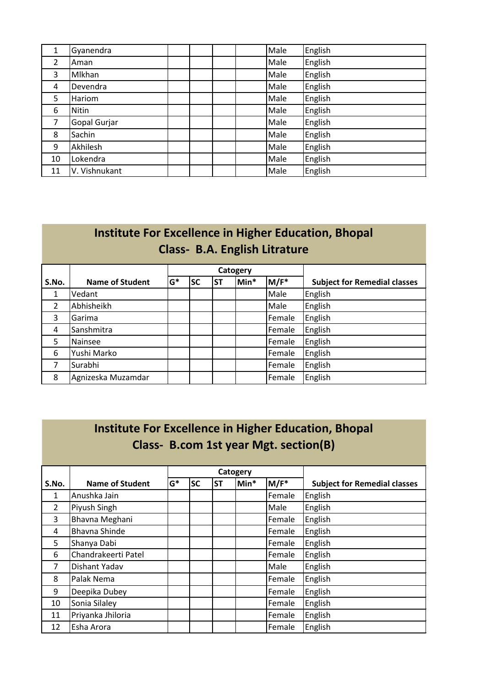| 1              | Gyanendra     |  | Male | English |
|----------------|---------------|--|------|---------|
| $\overline{2}$ | Aman          |  | Male | English |
| 3              | Mlkhan        |  | Male | English |
| 4              | Devendra      |  | Male | English |
| 5              | Hariom        |  | Male | English |
| 6              | <b>Nitin</b>  |  | Male | English |
| $\overline{7}$ | Gopal Gurjar  |  | Male | English |
| 8              | Sachin        |  | Male | English |
| 9              | Akhilesh      |  | Male | English |
| 10             | Lokendra      |  | Male | English |
| 11             | V. Vishnukant |  | Male | English |

|                | Institute For Excellence in Higher Education, Bhopal<br><b>Class- B.A. English Litrature</b> |       |           |           |      |        |                                     |  |  |  |  |  |
|----------------|----------------------------------------------------------------------------------------------|-------|-----------|-----------|------|--------|-------------------------------------|--|--|--|--|--|
|                |                                                                                              |       |           | Catogery  |      |        |                                     |  |  |  |  |  |
| S.No.          | <b>Name of Student</b>                                                                       | $G^*$ | <b>SC</b> | <b>ST</b> | Min* | M/F*   | <b>Subject for Remedial classes</b> |  |  |  |  |  |
| 1              | Vedant                                                                                       |       |           |           |      | Male   | English                             |  |  |  |  |  |
| $\overline{2}$ | Abhisheikh                                                                                   |       |           |           |      | Male   | English                             |  |  |  |  |  |
| 3              | Garima                                                                                       |       |           |           |      | Female | English                             |  |  |  |  |  |
| 4              | Sanshmitra                                                                                   |       |           |           |      | Female | English                             |  |  |  |  |  |
| 5              | Nainsee                                                                                      |       |           |           |      | Female | English                             |  |  |  |  |  |
| 6              | Yushi Marko                                                                                  |       |           |           |      | Female | English                             |  |  |  |  |  |
| 7              | Surabhi                                                                                      |       |           |           |      | Female | English                             |  |  |  |  |  |
| 8              | Agnizeska Muzamdar                                                                           |       |           |           |      | Female | English                             |  |  |  |  |  |

| Institute For Excellence in Higher Education, Bhopal<br>Class-B.com 1st year Mgt. section(B) |                        |       |           |           |          |         |                                     |  |  |  |  |
|----------------------------------------------------------------------------------------------|------------------------|-------|-----------|-----------|----------|---------|-------------------------------------|--|--|--|--|
|                                                                                              |                        |       |           |           | Catogery |         |                                     |  |  |  |  |
| S.No.                                                                                        | <b>Name of Student</b> | $G^*$ | <b>SC</b> | <b>ST</b> | Min*     | $M/F^*$ | <b>Subject for Remedial classes</b> |  |  |  |  |
| $\mathbf{1}$                                                                                 | Anushka Jain           |       |           |           |          | Female  | English                             |  |  |  |  |
| $\overline{2}$                                                                               | Piyush Singh           |       |           |           |          | Male    | English                             |  |  |  |  |
| 3                                                                                            | Bhavna Meghani         |       |           |           |          | Female  | English                             |  |  |  |  |
| 4                                                                                            | <b>Bhavna Shinde</b>   |       |           |           |          | Female  | English                             |  |  |  |  |
| 5                                                                                            | Shanya Dabi            |       |           |           |          | Female  | English                             |  |  |  |  |
| 6                                                                                            | Chandrakeerti Patel    |       |           |           |          | Female  | English                             |  |  |  |  |
| $\overline{7}$                                                                               | Dishant Yadav          |       |           |           |          | Male    | English                             |  |  |  |  |
| 8                                                                                            | Palak Nema             |       |           |           |          | Female  | English                             |  |  |  |  |
| 9                                                                                            | Deepika Dubey          |       |           |           |          | Female  | English                             |  |  |  |  |
| 10                                                                                           | Sonia Silaley          |       |           |           |          | Female  | English                             |  |  |  |  |
| 11                                                                                           | Priyanka Jhiloria      |       |           |           |          | Female  | English                             |  |  |  |  |
| 12                                                                                           | Esha Arora             |       |           |           |          | Female  | English                             |  |  |  |  |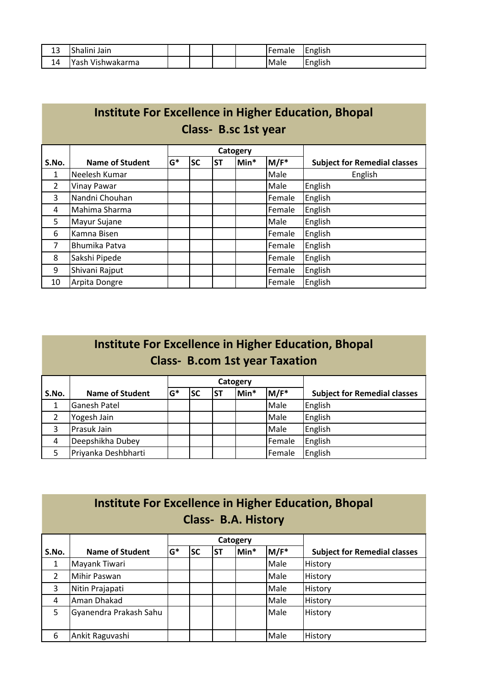| . n<br>-- | $\sim$ 1<br><br>Jain<br>ishalini      |  |  | <b>I</b> Female | $\cdots$<br><b>IEnglish</b> |
|-----------|---------------------------------------|--|--|-----------------|-----------------------------|
| 14<br>- - | $\cdot$<br>Voch<br>Vishwakarma<br>as. |  |  | <b>Male</b>     | English                     |

|                     | Institute For Excellence in Higher Education, Bhopal |       |           |           |          |         |                                     |  |  |  |  |
|---------------------|------------------------------------------------------|-------|-----------|-----------|----------|---------|-------------------------------------|--|--|--|--|
| Class-B.sc 1st year |                                                      |       |           |           |          |         |                                     |  |  |  |  |
|                     |                                                      |       |           |           | Catogery |         |                                     |  |  |  |  |
| S.No.               | Name of Student                                      | $G^*$ | <b>SC</b> | <b>ST</b> | Min*     | $M/F^*$ | <b>Subject for Remedial classes</b> |  |  |  |  |
| 1                   | Neelesh Kumar                                        |       |           |           |          | Male    | English                             |  |  |  |  |
| $\overline{2}$      | Vinay Pawar                                          |       |           |           |          | Male    | English                             |  |  |  |  |
| 3                   | Nandni Chouhan                                       |       |           |           |          | Female  | English                             |  |  |  |  |
| 4                   | Mahima Sharma                                        |       |           |           |          | Female  | English                             |  |  |  |  |
| 5                   | Mayur Sujane                                         |       |           |           |          | Male    | English                             |  |  |  |  |
| 6                   | Kamna Bisen                                          |       |           |           |          | Female  | English                             |  |  |  |  |
| 7                   | Bhumika Patva                                        |       |           |           |          | Female  | English                             |  |  |  |  |
| 8                   | Sakshi Pipede                                        |       |           |           |          | Female  | English                             |  |  |  |  |
| 9                   | Shivani Rajput                                       |       |           |           |          | Female  | English                             |  |  |  |  |
| 10                  | Arpita Dongre                                        |       |           |           |          | Female  | English                             |  |  |  |  |

| <b>Institute For Excellence in Higher Education, Bhopal</b> |                                       |  |
|-------------------------------------------------------------|---------------------------------------|--|
|                                                             | <b>Class- B.com 1st year Taxation</b> |  |

|       |                        |       |           |           | Catogery |        |                                     |
|-------|------------------------|-------|-----------|-----------|----------|--------|-------------------------------------|
| S.No. | <b>Name of Student</b> | $G^*$ | <b>SC</b> | <b>ST</b> | Min*     | M/F*   | <b>Subject for Remedial classes</b> |
|       | <b>Ganesh Patel</b>    |       |           |           |          | Male   | English                             |
|       | Yogesh Jain            |       |           |           |          | Male   | English                             |
| 3     | Prasuk Jain            |       |           |           |          | Male   | English                             |
| 4     | Deepshikha Dubey       |       |           |           |          | Female | English                             |
| 5     | Priyanka Deshbharti    |       |           |           |          | Female | English                             |

# **Institute For Excellence in Higher Education, Bhopal Class- B.A. History**

|       |                        |       |           |           | Catogery |      |                                     |
|-------|------------------------|-------|-----------|-----------|----------|------|-------------------------------------|
| S.No. | <b>Name of Student</b> | $G^*$ | <b>SC</b> | <b>ST</b> | Min*     | M/F* | <b>Subject for Remedial classes</b> |
|       | Mayank Tiwari          |       |           |           |          | Male | History                             |
| 2     | <b>Mihir Paswan</b>    |       |           |           |          | Male | History                             |
| 3     | Nitin Prajapati        |       |           |           |          | Male | History                             |
| 4     | Aman Dhakad            |       |           |           |          | Male | <b>History</b>                      |
| 5     | Gyanendra Prakash Sahu |       |           |           |          | Male | History                             |
| 6     | Ankit Raguvashi        |       |           |           |          | Male | History                             |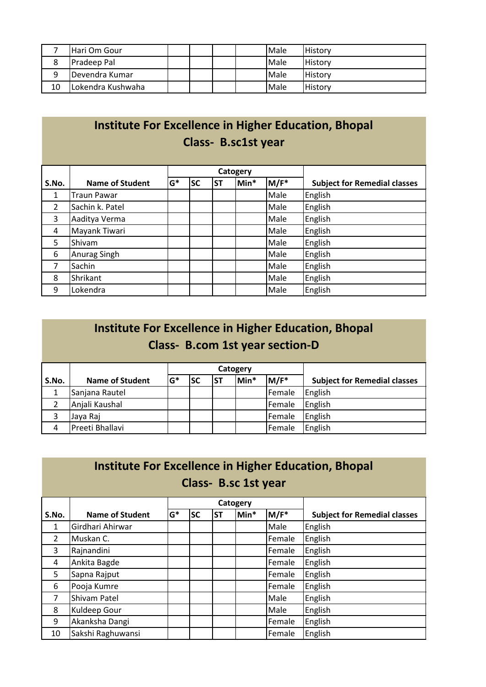|    | IHari Om Gour     |  |  | Male | <b>History</b> |
|----|-------------------|--|--|------|----------------|
| 8  | Pradeep Pal       |  |  | Male | <b>History</b> |
| 9  | Devendra Kumar    |  |  | Male | <b>History</b> |
| 10 | Lokendra Kushwaha |  |  | Male | <b>History</b> |

# **Institute For Excellence in Higher Education, Bhopal Class- B.sc1st year**

|       |                        |       |           |           | Catogery |         |                                     |
|-------|------------------------|-------|-----------|-----------|----------|---------|-------------------------------------|
| S.No. | <b>Name of Student</b> | $G^*$ | <b>SC</b> | <b>ST</b> | Min*     | $M/F^*$ | <b>Subject for Remedial classes</b> |
| 1     | <b>Traun Pawar</b>     |       |           |           |          | Male    | English                             |
| 2     | Sachin k. Patel        |       |           |           |          | Male    | English                             |
| 3     | Aaditya Verma          |       |           |           |          | Male    | English                             |
| 4     | Mayank Tiwari          |       |           |           |          | Male    | English                             |
| 5     | Shivam                 |       |           |           |          | Male    | English                             |
| 6     | Anurag Singh           |       |           |           |          | Male    | English                             |
| 7     | Sachin                 |       |           |           |          | Male    | English                             |
| 8     | Shrikant               |       |           |           |          | Male    | English                             |
| 9     | Lokendra               |       |           |           |          | Male    | English                             |

|                | Institute For Excellence in Higher Education, Bhopal<br><b>Class- B.com 1st year section-D</b> |       |           |           |          |        |                                     |  |  |  |  |  |
|----------------|------------------------------------------------------------------------------------------------|-------|-----------|-----------|----------|--------|-------------------------------------|--|--|--|--|--|
|                |                                                                                                |       |           |           | Catogery |        |                                     |  |  |  |  |  |
| S.No.          | <b>Name of Student</b>                                                                         | $G^*$ | <b>SC</b> | <b>ST</b> | Min*     | M/F*   | <b>Subject for Remedial classes</b> |  |  |  |  |  |
| $\mathbf{1}$   | Sanjana Rautel                                                                                 |       |           |           |          | Female | English                             |  |  |  |  |  |
| $\overline{2}$ | Anjali Kaushal                                                                                 |       |           |           |          | Female | English                             |  |  |  |  |  |
| 3              | Jaya Raj                                                                                       |       |           |           |          | Female | English                             |  |  |  |  |  |
| 4              | Preeti Bhallavi                                                                                |       |           |           |          | Female | English                             |  |  |  |  |  |

| Institute For Excellence in Higher Education, Bhopal |  |
|------------------------------------------------------|--|
| Class-B.sc 1st year                                  |  |

|                |                        |       |           |           | Catogery |        |                                     |
|----------------|------------------------|-------|-----------|-----------|----------|--------|-------------------------------------|
| S.No.          | <b>Name of Student</b> | $G^*$ | <b>SC</b> | <b>ST</b> | Min*     | M/F*   | <b>Subject for Remedial classes</b> |
| 1              | Girdhari Ahirwar       |       |           |           |          | Male   | English                             |
| $\overline{2}$ | Muskan C.              |       |           |           |          | Female | English                             |
| 3              | Rajnandini             |       |           |           |          | Female | English                             |
| 4              | Ankita Bagde           |       |           |           |          | Female | English                             |
| 5              | Sapna Rajput           |       |           |           |          | Female | English                             |
| 6              | Pooja Kumre            |       |           |           |          | Female | English                             |
| 7              | Shivam Patel           |       |           |           |          | Male   | English                             |
| 8              | Kuldeep Gour           |       |           |           |          | Male   | English                             |
| 9              | Akanksha Dangi         |       |           |           |          | Female | English                             |
| 10             | Sakshi Raghuwansi      |       |           |           |          | Female | English                             |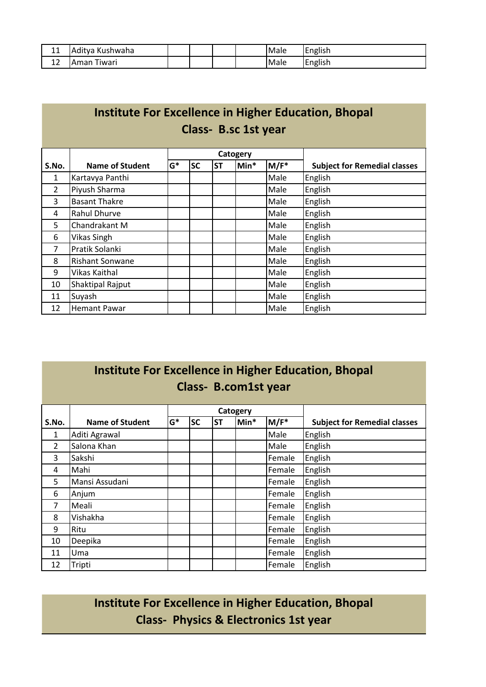| A A<br>ᆂᆂ | . .<br>Kushwaha<br>'tva<br>'Adi |  |  | <b>Male</b> | .<br><b>IEnglish</b> |
|-----------|---------------------------------|--|--|-------------|----------------------|
| -<br>∸∸   | iwari<br>max<br>Πd<br>ъA.       |  |  | <b>Male</b> | English              |

|                | <b>Institute For Excellence in Higher Education, Bhopal</b><br>Class-B.sc 1st year |       |           |           |      |      |                                     |
|----------------|------------------------------------------------------------------------------------|-------|-----------|-----------|------|------|-------------------------------------|
|                |                                                                                    |       |           |           |      |      |                                     |
| S.No.          | Name of Student                                                                    | $G^*$ | <b>SC</b> | <b>ST</b> | Min* | M/F* | <b>Subject for Remedial classes</b> |
| 1              | Kartavya Panthi                                                                    |       |           |           |      | Male | English                             |
| $\overline{2}$ | Piyush Sharma                                                                      |       |           |           |      | Male | English                             |
| 3              | <b>Basant Thakre</b>                                                               |       |           |           |      | Male | English                             |
| 4              | Rahul Dhurve                                                                       |       |           |           |      | Male | English                             |
| 5              | Chandrakant M                                                                      |       |           |           |      | Male | English                             |
| 6              | Vikas Singh                                                                        |       |           |           |      | Male | English                             |
| 7              | Pratik Solanki                                                                     |       |           |           |      | Male | English                             |
| 8              | <b>Rishant Sonwane</b>                                                             |       |           |           |      | Male | English                             |
| 9              | Vikas Kaithal                                                                      |       |           |           |      | Male | English                             |
| 10             | Shaktipal Rajput                                                                   |       |           |           |      | Male | English                             |
| 11             | Suyash                                                                             |       |           |           |      | Male | English                             |
| 12             | <b>Hemant Pawar</b>                                                                |       |           |           |      | Male | English                             |

#### **Institute For Excellence in Higher Education, Bhopal Class- B.com1st year**

|                |                        |       |           |           | Catogery |                  |                                     |
|----------------|------------------------|-------|-----------|-----------|----------|------------------|-------------------------------------|
| S.No.          | <b>Name of Student</b> | $G^*$ | <b>SC</b> | <b>ST</b> | lMin*    | M/F <sup>*</sup> | <b>Subject for Remedial classes</b> |
| 1              | Aditi Agrawal          |       |           |           |          | Male             | English                             |
| $\overline{2}$ | Salona Khan            |       |           |           |          | Male             | English                             |
| 3              | Sakshi                 |       |           |           |          | Female           | English                             |
| 4              | Mahi                   |       |           |           |          | Female           | English                             |
| 5              | Mansi Assudani         |       |           |           |          | Female           | English                             |
| 6              | Anjum                  |       |           |           |          | Female           | English                             |
| 7              | Meali                  |       |           |           |          | Female           | English                             |
| 8              | Vishakha               |       |           |           |          | Female           | English                             |
| 9              | Ritu                   |       |           |           |          | Female           | English                             |
| 10             | Deepika                |       |           |           |          | Female           | English                             |
| 11             | Uma                    |       |           |           |          | Female           | English                             |
| 12             | Tripti                 |       |           |           |          | Female           | English                             |

**Institute For Excellence in Higher Education, Bhopal Class- Physics & Electronics 1st year**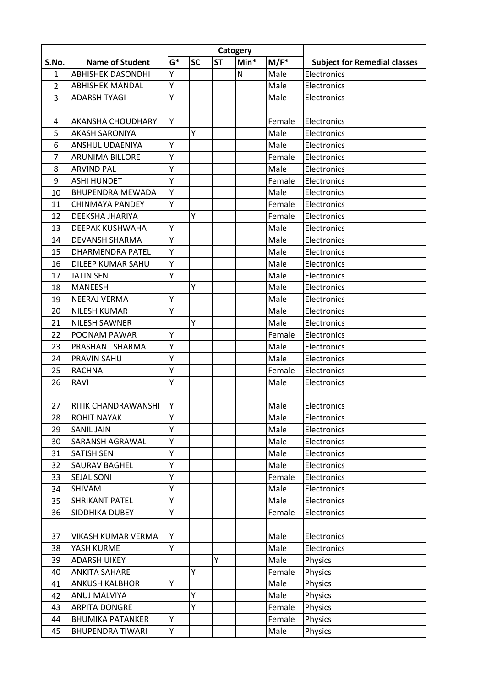|                |                           | Catogery |           |           |      |         |                                     |
|----------------|---------------------------|----------|-----------|-----------|------|---------|-------------------------------------|
| S.No.          | <b>Name of Student</b>    | $G^*$    | <b>SC</b> | <b>ST</b> | Min* | $M/F^*$ | <b>Subject for Remedial classes</b> |
| 1              | <b>ABHISHEK DASONDHI</b>  | Υ        |           |           | N    | Male    | Electronics                         |
| $\overline{2}$ | <b>ABHISHEK MANDAL</b>    | Υ        |           |           |      | Male    | Electronics                         |
| 3              | <b>ADARSH TYAGI</b>       | Ý        |           |           |      | Male    | Electronics                         |
|                |                           |          |           |           |      |         |                                     |
| 4              | AKANSHA CHOUDHARY         | Υ        |           |           |      | Female  | Electronics                         |
| 5              | <b>AKASH SARONIYA</b>     |          | Υ         |           |      | Male    | Electronics                         |
| 6              | ANSHUL UDAENIYA           | Υ        |           |           |      | Male    | Electronics                         |
| 7              | <b>ARUNIMA BILLORE</b>    | Υ        |           |           |      | Female  | Electronics                         |
| 8              | <b>ARVIND PAL</b>         | Υ        |           |           |      | Male    | Electronics                         |
| 9              | <b>ASHI HUNDET</b>        | Υ        |           |           |      | Female  | Electronics                         |
| 10             | <b>BHUPENDRA MEWADA</b>   | Υ        |           |           |      | Male    | Electronics                         |
| 11             | <b>CHINMAYA PANDEY</b>    | Y        |           |           |      | Female  | Electronics                         |
| 12             | DEEKSHA JHARIYA           |          | Υ         |           |      | Female  | Electronics                         |
| 13             | <b>DEEPAK KUSHWAHA</b>    | Y        |           |           |      | Male    | Electronics                         |
| 14             | <b>DEVANSH SHARMA</b>     | Υ        |           |           |      | Male    | Electronics                         |
| 15             | <b>DHARMENDRA PATEL</b>   | Υ        |           |           |      | Male    | Electronics                         |
| 16             | DILEEP KUMAR SAHU         | Υ        |           |           |      | Male    | Electronics                         |
| 17             | <b>JATIN SEN</b>          | Υ        |           |           |      | Male    | Electronics                         |
| 18             | <b>MANEESH</b>            |          | Y         |           |      | Male    | Electronics                         |
| 19             | <b>NEERAJ VERMA</b>       | Υ        |           |           |      | Male    | Electronics                         |
| 20             | <b>NILESH KUMAR</b>       | Y        |           |           |      | Male    | Electronics                         |
| 21             | <b>NILESH SAWNER</b>      |          | Y         |           |      | Male    | Electronics                         |
| 22             | POONAM PAWAR              | Y        |           |           |      | Female  | Electronics                         |
| 23             | PRASHANT SHARMA           | Υ        |           |           |      | Male    | Electronics                         |
| 24             | <b>PRAVIN SAHU</b>        | Υ        |           |           |      | Male    | Electronics                         |
| 25             | <b>RACHNA</b>             | Y        |           |           |      | Female  | Electronics                         |
| 26             | <b>RAVI</b>               | Y        |           |           |      | Male    | Electronics                         |
|                |                           |          |           |           |      |         |                                     |
| 27             | RITIK CHANDRAWANSHI       | Y        |           |           |      | Male    | Electronics                         |
| 28             | <b>ROHIT NAYAK</b>        | Υ        |           |           |      | Male    | Electronics                         |
| 29             | <b>SANIL JAIN</b>         | Υ        |           |           |      | Male    | Electronics                         |
| 30             | SARANSH AGRAWAL           | Υ        |           |           |      | Male    | Electronics                         |
| 31             | <b>SATISH SEN</b>         | Υ        |           |           |      | Male    | Electronics                         |
| 32             | SAURAV BAGHEL             | Υ        |           |           |      | Male    | Electronics                         |
| 33             | <b>SEJAL SONI</b>         | Υ        |           |           |      | Female  | Electronics                         |
| 34             | SHIVAM                    | Υ        |           |           |      | Male    | Electronics                         |
| 35             | <b>SHRIKANT PATEL</b>     | Υ        |           |           |      | Male    | Electronics                         |
| 36             | SIDDHIKA DUBEY            | Υ        |           |           |      | Female  | Electronics                         |
| 37             | <b>VIKASH KUMAR VERMA</b> | Υ        |           |           |      | Male    | Electronics                         |
| 38             | YASH KURME                | Ý        |           |           |      | Male    | Electronics                         |
| 39             | <b>ADARSH UIKEY</b>       |          |           | Υ         |      | Male    | Physics                             |
| 40             | <b>ANKITA SAHARE</b>      |          | Y         |           |      | Female  | Physics                             |
| 41             | <b>ANKUSH KALBHOR</b>     | Υ        |           |           |      | Male    | <b>Physics</b>                      |
| 42             | ANUJ MALVIYA              |          | Y         |           |      | Male    | Physics                             |
| 43             | <b>ARPITA DONGRE</b>      |          | Υ         |           |      | Female  | Physics                             |
| 44             | <b>BHUMIKA PATANKER</b>   | Υ        |           |           |      | Female  | Physics                             |
| 45             | <b>BHUPENDRA TIWARI</b>   | Υ        |           |           |      | Male    | Physics                             |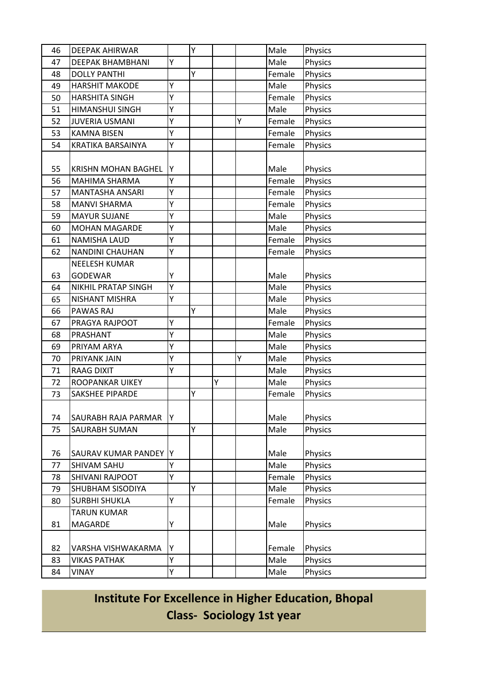| 46 | <b>DEEPAK AHIRWAR</b>      |   | Υ |   |   | Male   | Physics |
|----|----------------------------|---|---|---|---|--------|---------|
| 47 | <b>DEEPAK BHAMBHANI</b>    | Υ |   |   |   | Male   | Physics |
| 48 | <b>DOLLY PANTHI</b>        |   | Y |   |   | Female | Physics |
| 49 | <b>HARSHIT MAKODE</b>      | Y |   |   |   | Male   | Physics |
| 50 | <b>HARSHITA SINGH</b>      | Υ |   |   |   | Female | Physics |
| 51 | HIMANSHUI SINGH            | Y |   |   |   | Male   | Physics |
| 52 | <b>JUVERIA USMANI</b>      | Υ |   |   | Y | Female | Physics |
| 53 | <b>KAMNA BISEN</b>         | Ý |   |   |   | Female | Physics |
| 54 | KRATIKA BARSAINYA          | Ý |   |   |   | Female | Physics |
|    |                            |   |   |   |   |        |         |
| 55 | <b>KRISHN MOHAN BAGHEL</b> | Υ |   |   |   | Male   | Physics |
| 56 | <b>MAHIMA SHARMA</b>       | Υ |   |   |   | Female | Physics |
| 57 | <b>MANTASHA ANSARI</b>     | Y |   |   |   | Female | Physics |
| 58 | <b>MANVI SHARMA</b>        | Y |   |   |   | Female | Physics |
| 59 | <b>MAYUR SUJANE</b>        | Y |   |   |   | Male   | Physics |
| 60 | <b>MOHAN MAGARDE</b>       | Y |   |   |   | Male   | Physics |
| 61 | <b>NAMISHA LAUD</b>        | Y |   |   |   | Female | Physics |
| 62 | NANDINI CHAUHAN            | Y |   |   |   | Female | Physics |
|    | <b>NEELESH KUMAR</b>       |   |   |   |   |        |         |
| 63 | <b>GODEWAR</b>             | Υ |   |   |   | Male   | Physics |
| 64 | NIKHIL PRATAP SINGH        | Υ |   |   |   | Male   | Physics |
| 65 | NISHANT MISHRA             | Y |   |   |   | Male   | Physics |
| 66 | PAWAS RAJ                  |   | Y |   |   | Male   | Physics |
| 67 | PRAGYA RAJPOOT             | Υ |   |   |   | Female | Physics |
| 68 | PRASHANT                   | Υ |   |   |   | Male   | Physics |
| 69 | PRIYAM ARYA                | Y |   |   |   | Male   | Physics |
| 70 | PRIYANK JAIN               | Y |   |   | Y | Male   | Physics |
| 71 | <b>RAAG DIXIT</b>          | Ý |   |   |   | Male   | Physics |
| 72 | ROOPANKAR UIKEY            |   |   | Υ |   | Male   | Physics |
| 73 | <b>SAKSHEE PIPARDE</b>     |   | Ý |   |   | Female | Physics |
|    |                            |   |   |   |   |        |         |
| 74 | SAURABH RAJA PARMAR        | Υ |   |   |   | Male   | Physics |
| 75 | <b>SAURABH SUMAN</b>       |   | Y |   |   | Male   | Physics |
|    |                            |   |   |   |   |        |         |
| 76 | SAURAV KUMAR PANDEY  Y     |   |   |   |   | Male   | Physics |
| 77 | SHIVAM SAHU                | Υ |   |   |   | Male   | Physics |
| 78 | SHIVANI RAJPOOT            | Y |   |   |   | Female | Physics |
| 79 | SHUBHAM SISODIYA           |   | Υ |   |   | Male   | Physics |
| 80 | <b>SURBHI SHUKLA</b>       | Y |   |   |   | Female | Physics |
|    | <b>TARUN KUMAR</b>         |   |   |   |   |        |         |
| 81 | MAGARDE                    | Υ |   |   |   | Male   | Physics |
|    |                            |   |   |   |   |        |         |
| 82 | VARSHA VISHWAKARMA         | Y |   |   |   | Female | Physics |
| 83 | <b>VIKAS PATHAK</b>        | Y |   |   |   | Male   | Physics |
| 84 | VINAY                      | Υ |   |   |   | Male   | Physics |

**Institute For Excellence in Higher Education, Bhopal Class- Sociology 1st year**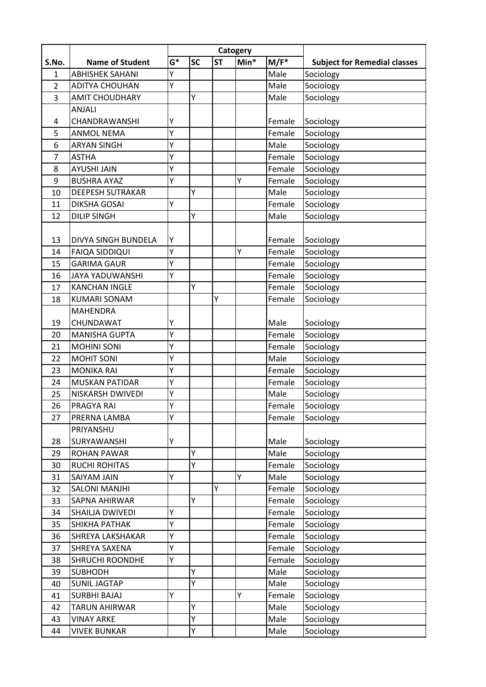|                |                         | Catogery |           |           |      |         |                                     |
|----------------|-------------------------|----------|-----------|-----------|------|---------|-------------------------------------|
| S.No.          | <b>Name of Student</b>  | $G^*$    | <b>SC</b> | <b>ST</b> | Min* | $M/F^*$ | <b>Subject for Remedial classes</b> |
| 1              | <b>ABHISHEK SAHANI</b>  | Υ        |           |           |      | Male    | Sociology                           |
| $\overline{2}$ | <b>ADITYA CHOUHAN</b>   | Y        |           |           |      | Male    | Sociology                           |
| 3              | <b>AMIT CHOUDHARY</b>   |          | Y         |           |      | Male    | Sociology                           |
|                | <b>ANJALI</b>           |          |           |           |      |         |                                     |
| 4              | CHANDRAWANSHI           | Υ        |           |           |      | Female  | Sociology                           |
| 5              | <b>ANMOL NEMA</b>       | Y        |           |           |      | Female  | Sociology                           |
| 6              | <b>ARYAN SINGH</b>      | Υ        |           |           |      | Male    | Sociology                           |
| 7              | <b>ASTHA</b>            | Υ        |           |           |      | Female  | Sociology                           |
| 8              | <b>AYUSHI JAIN</b>      | Y        |           |           |      | Female  | Sociology                           |
| 9              | <b>BUSHRA AYAZ</b>      | Υ        |           |           | Y    | Female  | Sociology                           |
| 10             | <b>DEEPESH SUTRAKAR</b> |          | Υ         |           |      | Male    | Sociology                           |
| 11             | <b>DIKSHA GOSAI</b>     | Y        |           |           |      | Female  | Sociology                           |
| 12             | <b>DILIP SINGH</b>      |          | Υ         |           |      | Male    | Sociology                           |
|                |                         |          |           |           |      |         |                                     |
| 13             | DIVYA SINGH BUNDELA     | Υ        |           |           |      | Female  | Sociology                           |
| 14             | <b>FAIQA SIDDIQUI</b>   | Y        |           |           | Y    | Female  | Sociology                           |
| 15             | <b>GARIMA GAUR</b>      | Ý        |           |           |      | Female  | Sociology                           |
| 16             | <b>JAYA YADUWANSHI</b>  | Υ        |           |           |      | Female  | Sociology                           |
| 17             | <b>KANCHAN INGLE</b>    |          | Y         |           |      | Female  | Sociology                           |
| 18             | <b>KUMARI SONAM</b>     |          |           | Y         |      | Female  | Sociology                           |
|                | <b>MAHENDRA</b>         |          |           |           |      |         |                                     |
| 19             | CHUNDAWAT               | Υ        |           |           |      | Male    | Sociology                           |
| 20             | <b>MANISHA GUPTA</b>    | Υ        |           |           |      | Female  | Sociology                           |
| 21             | <b>MOHINI SONI</b>      | Υ        |           |           |      | Female  | Sociology                           |
| 22             | <b>MOHIT SONI</b>       | Υ        |           |           |      | Male    | Sociology                           |
| 23             | <b>MONIKA RAI</b>       | Y        |           |           |      | Female  | Sociology                           |
| 24             | <b>MUSKAN PATIDAR</b>   | Υ        |           |           |      | Female  | Sociology                           |
| 25             | NISKARSH DWIVEDI        | Υ        |           |           |      | Male    | Sociology                           |
| 26             | <b>PRAGYA RAI</b>       | Y        |           |           |      | Female  | Sociology                           |
| 27             | PRERNA LAMBA            | Υ        |           |           |      | Female  | Sociology                           |
|                | PRIYANSHU               |          |           |           |      |         |                                     |
| 28             | SURYAWANSHI             | Υ        |           |           |      | Male    | Sociology                           |
| 29             | <b>ROHAN PAWAR</b>      |          | Υ         |           |      | Male    | Sociology                           |
| 30             | <b>RUCHI ROHITAS</b>    |          | Y         |           |      | Female  | Sociology                           |
| 31             | <b>SAIYAM JAIN</b>      | Υ        |           |           | Υ    | Male    | Sociology                           |
| 32             | <b>SALONI MANJHI</b>    |          |           | Υ         |      | Female  | Sociology                           |
| 33             | SAPNA AHIRWAR           |          | Υ         |           |      | Female  | Sociology                           |
| 34             | SHAILJA DWIVEDI         | Υ        |           |           |      | Female  | Sociology                           |
| 35             | SHIKHA PATHAK           | Υ        |           |           |      | Female  | Sociology                           |
| 36             | <b>SHREYA LAKSHAKAR</b> | Υ        |           |           |      | Female  | Sociology                           |
| 37             | SHREYA SAXENA           | Υ        |           |           |      | Female  | Sociology                           |
| 38             | <b>SHRUCHI ROONDHE</b>  | Υ        |           |           |      | Female  | Sociology                           |
| 39             | <b>SUBHODH</b>          |          | Y         |           |      | Male    | Sociology                           |
| 40             | <b>SUNIL JAGTAP</b>     |          | Y         |           |      | Male    | Sociology                           |
| 41             | <b>SURBHI BAJAJ</b>     | Y        |           |           | Y    | Female  | Sociology                           |
| 42             | <b>TARUN AHIRWAR</b>    |          | Υ         |           |      | Male    | Sociology                           |
| 43             | <b>VINAY ARKE</b>       |          | Υ         |           |      | Male    | Sociology                           |
| 44             | <b>VIVEK BUNKAR</b>     |          | Υ         |           |      | Male    | Sociology                           |